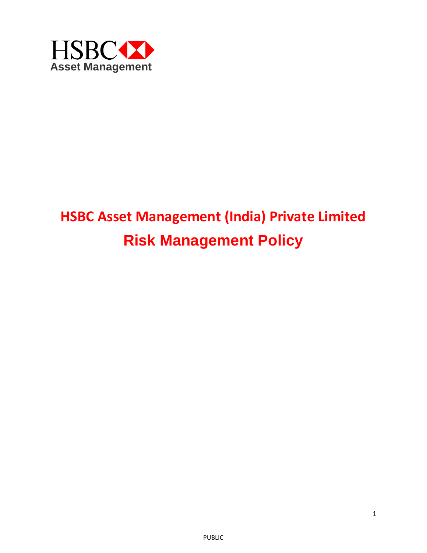

# **HSBC Asset Management (India) Private Limited Risk Management Policy**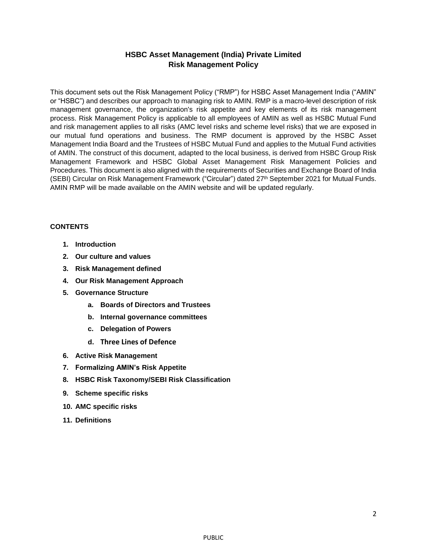## **HSBC Asset Management (India) Private Limited Risk Management Policy**

This document sets out the Risk Management Policy ("RMP") for HSBC Asset Management India ("AMIN" or "HSBC") and describes our approach to managing risk to AMIN. RMP is a macro-level description of risk management governance, the organization's risk appetite and key elements of its risk management process. Risk Management Policy is applicable to all employees of AMIN as well as HSBC Mutual Fund and risk management applies to all risks (AMC level risks and scheme level risks) that we are exposed in our mutual fund operations and business. The RMP document is approved by the HSBC Asset Management India Board and the Trustees of HSBC Mutual Fund and applies to the Mutual Fund activities of AMIN. The construct of this document, adapted to the local business, is derived from HSBC Group Risk Management Framework and HSBC Global Asset Management Risk Management Policies and Procedures. This document is also aligned with the requirements of Securities and Exchange Board of India (SEBI) Circular on Risk Management Framework ("Circular") dated 27th September 2021 for Mutual Funds. AMIN RMP will be made available on the AMIN website and will be updated regularly.

## **CONTENTS**

- **1. Introduction**
- **2. Our culture and values**
- **3. Risk Management defined**
- **4. Our Risk Management Approach**
- **5. Governance Structure**
	- **a. Boards of Directors and Trustees**
	- **b. Internal governance committees**
	- **c. Delegation of Powers**
	- **d. Three Lines of Defence**
- **6. Active Risk Management**
- **7. Formalizing AMIN's Risk Appetite**
- **8. HSBC Risk Taxonomy/SEBI Risk Classification**
- **9. Scheme specific risks**
- **10. AMC specific risks**
- **11. Definitions**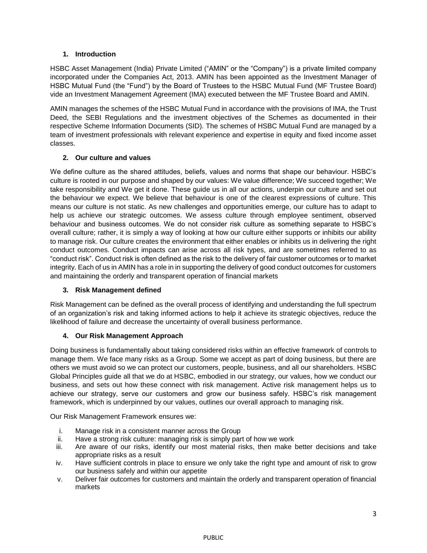## **1. Introduction**

HSBC Asset Management (India) Private Limited ("AMIN" or the "Company") is a private limited company incorporated under the Companies Act, 2013. AMIN has been appointed as the Investment Manager of HSBC Mutual Fund (the "Fund") by the Board of Trustees to the HSBC Mutual Fund (MF Trustee Board) vide an Investment Management Agreement (IMA) executed between the MF Trustee Board and AMIN.

AMIN manages the schemes of the HSBC Mutual Fund in accordance with the provisions of IMA, the Trust Deed, the SEBI Regulations and the investment objectives of the Schemes as documented in their respective Scheme Information Documents (SID). The schemes of HSBC Mutual Fund are managed by a team of investment professionals with relevant experience and expertise in equity and fixed income asset classes.

## **2. Our culture and values**

We define culture as the shared attitudes, beliefs, values and norms that shape our behaviour. HSBC's culture is rooted in our purpose and shaped by our values: We value difference; We succeed together; We take responsibility and We get it done. These guide us in all our actions, underpin our culture and set out the behaviour we expect. We believe that behaviour is one of the clearest expressions of culture. This means our culture is not static. As new challenges and opportunities emerge, our culture has to adapt to help us achieve our strategic outcomes. We assess culture through employee sentiment, observed behaviour and business outcomes. We do not consider risk culture as something separate to HSBC's overall culture; rather, it is simply a way of looking at how our culture either supports or inhibits our ability to manage risk. Our culture creates the environment that either enables or inhibits us in delivering the right conduct outcomes. Conduct impacts can arise across all risk types, and are sometimes referred to as "conduct risk". Conduct risk is often defined as the risk to the delivery of fair customer outcomes or to market integrity. Each of us in AMIN has a role in in supporting the delivery of good conduct outcomes for customers and maintaining the orderly and transparent operation of financial markets

## **3. Risk Management defined**

Risk Management can be defined as the overall process of identifying and understanding the full spectrum of an organization's risk and taking informed actions to help it achieve its strategic objectives, reduce the likelihood of failure and decrease the uncertainty of overall business performance.

## **4. Our Risk Management Approach**

Doing business is fundamentally about taking considered risks within an effective framework of controls to manage them. We face many risks as a Group. Some we accept as part of doing business, but there are others we must avoid so we can protect our customers, people, business, and all our shareholders. HSBC Global Principles guide all that we do at HSBC, embodied in our strategy, our values, how we conduct our business, and sets out how these connect with risk management. Active risk management helps us to achieve our strategy, serve our customers and grow our business safely. HSBC's risk management framework, which is underpinned by our values, outlines our overall approach to managing risk.

Our Risk Management Framework ensures we:

- i. Manage risk in a consistent manner across the Group
- ii. Have a strong risk culture: managing risk is simply part of how we work
- iii. Are aware of our risks, identify our most material risks, then make better decisions and take appropriate risks as a result
- iv. Have sufficient controls in place to ensure we only take the right type and amount of risk to grow our business safely and within our appetite
- v. Deliver fair outcomes for customers and maintain the orderly and transparent operation of financial markets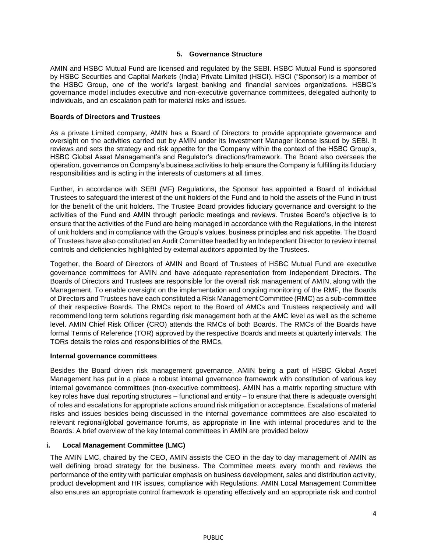#### **5. Governance Structure**

AMIN and HSBC Mutual Fund are licensed and regulated by the SEBI. HSBC Mutual Fund is sponsored by HSBC Securities and Capital Markets (India) Private Limited (HSCI). HSCI ("Sponsor) is a member of the HSBC Group, one of the world's largest banking and financial services organizations. HSBC's governance model includes executive and non-executive governance committees, delegated authority to individuals, and an escalation path for material risks and issues.

#### **Boards of Directors and Trustees**

As a private Limited company, AMIN has a Board of Directors to provide appropriate governance and oversight on the activities carried out by AMIN under its Investment Manager license issued by SEBI. It reviews and sets the strategy and risk appetite for the Company within the context of the HSBC Group's, HSBC Global Asset Management's and Regulator's directions/framework. The Board also oversees the operation, governance on Company's business activities to help ensure the Company is fulfilling its fiduciary responsibilities and is acting in the interests of customers at all times.

Further, in accordance with SEBI (MF) Regulations, the Sponsor has appointed a Board of individual Trustees to safeguard the interest of the unit holders of the Fund and to hold the assets of the Fund in trust for the benefit of the unit holders. The Trustee Board provides fiduciary governance and oversight to the activities of the Fund and AMIN through periodic meetings and reviews. Trustee Board's objective is to ensure that the activities of the Fund are being managed in accordance with the Regulations, in the interest of unit holders and in compliance with the Group's values, business principles and risk appetite. The Board of Trustees have also constituted an Audit Committee headed by an Independent Director to review internal controls and deficiencies highlighted by external auditors appointed by the Trustees.

Together, the Board of Directors of AMIN and Board of Trustees of HSBC Mutual Fund are executive governance committees for AMIN and have adequate representation from Independent Directors. The Boards of Directors and Trustees are responsible for the overall risk management of AMIN, along with the Management. To enable oversight on the implementation and ongoing monitoring of the RMF, the Boards of Directors and Trustees have each constituted a Risk Management Committee (RMC) as a sub-committee of their respective Boards. The RMCs report to the Board of AMCs and Trustees respectively and will recommend long term solutions regarding risk management both at the AMC level as well as the scheme level. AMIN Chief Risk Officer (CRO) attends the RMCs of both Boards. The RMCs of the Boards have formal Terms of Reference (TOR) approved by the respective Boards and meets at quarterly intervals. The TORs details the roles and responsibilities of the RMCs.

#### **Internal governance committees**

Besides the Board driven risk management governance, AMIN being a part of HSBC Global Asset Management has put in a place a robust internal governance framework with constitution of various key internal governance committees (non-executive committees). AMIN has a matrix reporting structure with key roles have dual reporting structures – functional and entity – to ensure that there is adequate oversight of roles and escalations for appropriate actions around risk mitigation or acceptance. Escalations of material risks and issues besides being discussed in the internal governance committees are also escalated to relevant regional/global governance forums, as appropriate in line with internal procedures and to the Boards. A brief overview of the key Internal committees in AMIN are provided below

## **i. Local Management Committee (LMC)**

The AMIN LMC, chaired by the CEO, AMIN assists the CEO in the day to day management of AMIN as well defining broad strategy for the business. The Committee meets every month and reviews the performance of the entity with particular emphasis on business development, sales and distribution activity, product development and HR issues, compliance with Regulations. AMIN Local Management Committee also ensures an appropriate control framework is operating effectively and an appropriate risk and control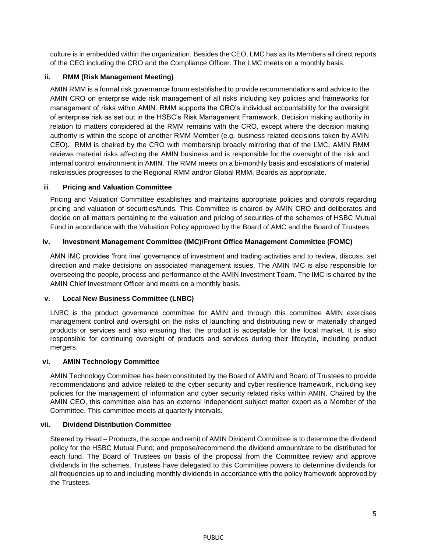culture is in embedded within the organization. Besides the CEO, LMC has as its Members all direct reports of the CEO including the CRO and the Compliance Officer. The LMC meets on a monthly basis.

## **ii. RMM (Risk Management Meeting)**

AMIN RMM is a formal risk governance forum established to provide recommendations and advice to the AMIN CRO on enterprise wide risk management of all risks including key policies and frameworks for management of risks within AMIN. RMM supports the CRO's individual accountability for the oversight of enterprise risk as set out in the HSBC's Risk Management Framework. Decision making authority in relation to matters considered at the RMM remains with the CRO, except where the decision making authority is within the scope of another RMM Member (e.g. business related decisions taken by AMIN CEO). RMM is chaired by the CRO with membership broadly mirroring that of the LMC. AMIN RMM reviews material risks affecting the AMIN business and is responsible for the oversight of the risk and internal control environment in AMIN. The RMM meets on a bi-monthly basis and escalations of material risks/issues progresses to the Regional RMM and/or Global RMM, Boards as appropriate.

## iii. **Pricing and Valuation Committee**

Pricing and Valuation Committee establishes and maintains appropriate policies and controls regarding pricing and valuation of securities/funds. This Committee is chaired by AMIN CRO and deliberates and decide on all matters pertaining to the valuation and pricing of securities of the schemes of HSBC Mutual Fund in accordance with the Valuation Policy approved by the Board of AMC and the Board of Trustees.

## **iv. Investment Management Committee (IMC)/Front Office Management Committee (FOMC)**

AMN IMC provides 'front line' governance of investment and trading activities and to review, discuss, set direction and make decisions on associated management issues. The AMIN IMC is also responsible for overseeing the people, process and performance of the AMIN Investment Team. The IMC is chaired by the AMIN Chief Investment Officer and meets on a monthly basis.

## **v. Local New Business Committee (LNBC)**

LNBC is the product governance committee for AMIN and through this committee AMIN exercises management control and oversight on the risks of launching and distributing new or materially changed products or services and also ensuring that the product is acceptable for the local market. It is also responsible for continuing oversight of products and services during their lifecycle, including product mergers.

## **vi. AMIN Technology Committee**

AMIN Technology Committee has been constituted by the Board of AMIN and Board of Trustees to provide recommendations and advice related to the cyber security and cyber resilience framework, including key policies for the management of information and cyber security related risks within AMIN. Chaired by the AMIN CEO, this committee also has an external independent subject matter expert as a Member of the Committee. This committee meets at quarterly intervals.

## **vii. Dividend Distribution Committee**

Steered by Head – Products, the scope and remit of AMIN Dividend Committee is to determine the dividend policy for the HSBC Mutual Fund; and propose/recommend the dividend amount/rate to be distributed for each fund. The Board of Trustees on basis of the proposal from the Committee review and approve dividends in the schemes. Trustees have delegated to this Committee powers to determine dividends for all frequencies up to and including monthly dividends in accordance with the policy framework approved by the Trustees.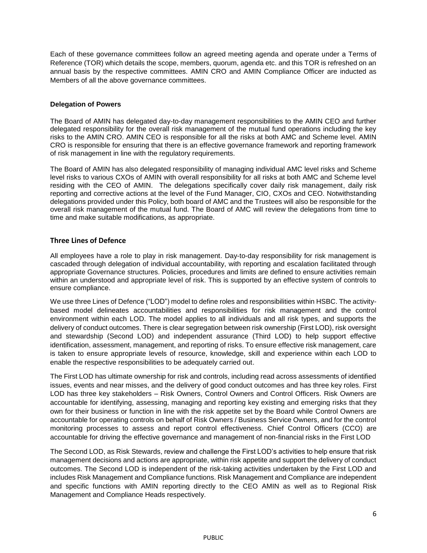Each of these governance committees follow an agreed meeting agenda and operate under a Terms of Reference (TOR) which details the scope, members, quorum, agenda etc. and this TOR is refreshed on an annual basis by the respective committees. AMIN CRO and AMIN Compliance Officer are inducted as Members of all the above governance committees.

#### **Delegation of Powers**

The Board of AMIN has delegated day-to-day management responsibilities to the AMIN CEO and further delegated responsibility for the overall risk management of the mutual fund operations including the key risks to the AMIN CRO. AMIN CEO is responsible for all the risks at both AMC and Scheme level. AMIN CRO is responsible for ensuring that there is an effective governance framework and reporting framework of risk management in line with the regulatory requirements.

The Board of AMIN has also delegated responsibility of managing individual AMC level risks and Scheme level risks to various CXOs of AMIN with overall responsibility for all risks at both AMC and Scheme level residing with the CEO of AMIN. The delegations specifically cover daily risk management, daily risk reporting and corrective actions at the level of the Fund Manager, CIO, CXOs and CEO. Notwithstanding delegations provided under this Policy, both board of AMC and the Trustees will also be responsible for the overall risk management of the mutual fund. The Board of AMC will review the delegations from time to time and make suitable modifications, as appropriate.

## **Three Lines of Defence**

All employees have a role to play in risk management. Day-to-day responsibility for risk management is cascaded through delegation of individual accountability, with reporting and escalation facilitated through appropriate Governance structures. Policies, procedures and limits are defined to ensure activities remain within an understood and appropriate level of risk. This is supported by an effective system of controls to ensure compliance.

We use three Lines of Defence ("LOD") model to define roles and responsibilities within HSBC. The activitybased model delineates accountabilities and responsibilities for risk management and the control environment within each LOD. The model applies to all individuals and all risk types, and supports the delivery of conduct outcomes. There is clear segregation between risk ownership (First LOD), risk oversight and stewardship (Second LOD) and independent assurance (Third LOD) to help support effective identification, assessment, management, and reporting of risks. To ensure effective risk management, care is taken to ensure appropriate levels of resource, knowledge, skill and experience within each LOD to enable the respective responsibilities to be adequately carried out.

The First LOD has ultimate ownership for risk and controls, including read across assessments of identified issues, events and near misses, and the delivery of good conduct outcomes and has three key roles. First LOD has three key stakeholders – Risk Owners, Control Owners and Control Officers. Risk Owners are accountable for identifying, assessing, managing and reporting key existing and emerging risks that they own for their business or function in line with the risk appetite set by the Board while Control Owners are accountable for operating controls on behalf of Risk Owners / Business Service Owners, and for the control monitoring processes to assess and report control effectiveness. Chief Control Officers (CCO) are accountable for driving the effective governance and management of non-financial risks in the First LOD

The Second LOD, as Risk Stewards, review and challenge the First LOD's activities to help ensure that risk management decisions and actions are appropriate, within risk appetite and support the delivery of conduct outcomes. The Second LOD is independent of the risk-taking activities undertaken by the First LOD and includes Risk Management and Compliance functions. Risk Management and Compliance are independent and specific functions with AMIN reporting directly to the CEO AMIN as well as to Regional Risk Management and Compliance Heads respectively.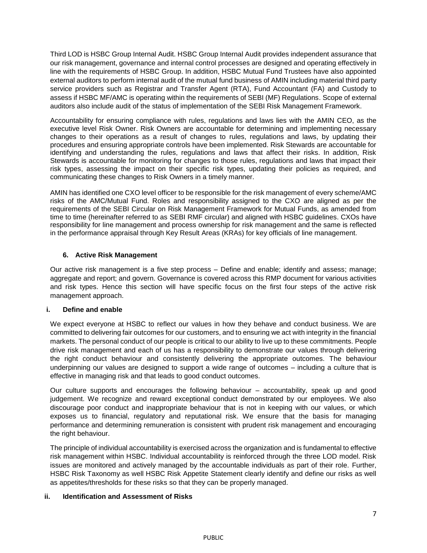Third LOD is HSBC Group Internal Audit. HSBC Group Internal Audit provides independent assurance that our risk management, governance and internal control processes are designed and operating effectively in line with the requirements of HSBC Group. In addition, HSBC Mutual Fund Trustees have also appointed external auditors to perform internal audit of the mutual fund business of AMIN including material third party service providers such as Registrar and Transfer Agent (RTA), Fund Accountant (FA) and Custody to assess if HSBC MF/AMC is operating within the requirements of SEBI (MF) Regulations. Scope of external auditors also include audit of the status of implementation of the SEBI Risk Management Framework.

Accountability for ensuring compliance with rules, regulations and laws lies with the AMIN CEO, as the executive level Risk Owner. Risk Owners are accountable for determining and implementing necessary changes to their operations as a result of changes to rules, regulations and laws, by updating their procedures and ensuring appropriate controls have been implemented. Risk Stewards are accountable for identifying and understanding the rules, regulations and laws that affect their risks. In addition, Risk Stewards is accountable for monitoring for changes to those rules, regulations and laws that impact their risk types, assessing the impact on their specific risk types, updating their policies as required, and communicating these changes to Risk Owners in a timely manner.

AMIN has identified one CXO level officer to be responsible for the risk management of every scheme/AMC risks of the AMC/Mutual Fund. Roles and responsibility assigned to the CXO are aligned as per the requirements of the SEBI Circular on Risk Management Framework for Mutual Funds, as amended from time to time (hereinafter referred to as SEBI RMF circular) and aligned with HSBC guidelines. CXOs have responsibility for line management and process ownership for risk management and the same is reflected in the performance appraisal through Key Result Areas (KRAs) for key officials of line management.

## **6. Active Risk Management**

Our active risk management is a five step process – Define and enable; identify and assess; manage; aggregate and report; and govern. Governance is covered across this RMP document for various activities and risk types. Hence this section will have specific focus on the first four steps of the active risk management approach.

## **i. Define and enable**

We expect everyone at HSBC to reflect our values in how they behave and conduct business. We are committed to delivering fair outcomes for our customers, and to ensuring we act with integrity in the financial markets. The personal conduct of our people is critical to our ability to live up to these commitments. People drive risk management and each of us has a responsibility to demonstrate our values through delivering the right conduct behaviour and consistently delivering the appropriate outcomes. The behaviour underpinning our values are designed to support a wide range of outcomes – including a culture that is effective in managing risk and that leads to good conduct outcomes.

Our culture supports and encourages the following behaviour – accountability, speak up and good judgement. We recognize and reward exceptional conduct demonstrated by our employees. We also discourage poor conduct and inappropriate behaviour that is not in keeping with our values, or which exposes us to financial, regulatory and reputational risk. We ensure that the basis for managing performance and determining remuneration is consistent with prudent risk management and encouraging the right behaviour.

The principle of individual accountability is exercised across the organization and is fundamental to effective risk management within HSBC. Individual accountability is reinforced through the three LOD model. Risk issues are monitored and actively managed by the accountable individuals as part of their role. Further, HSBC Risk Taxonomy as well HSBC Risk Appetite Statement clearly identify and define our risks as well as appetites/thresholds for these risks so that they can be properly managed.

## **ii. Identification and Assessment of Risks**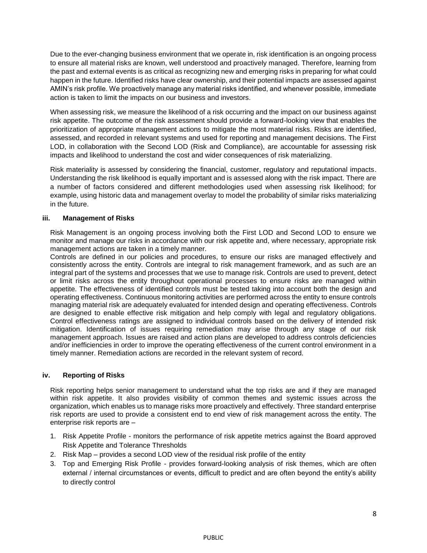Due to the ever-changing business environment that we operate in, risk identification is an ongoing process to ensure all material risks are known, well understood and proactively managed. Therefore, learning from the past and external events is as critical as recognizing new and emerging risks in preparing for what could happen in the future. Identified risks have clear ownership, and their potential impacts are assessed against AMIN's risk profile. We proactively manage any material risks identified, and whenever possible, immediate action is taken to limit the impacts on our business and investors.

When assessing risk, we measure the likelihood of a risk occurring and the impact on our business against risk appetite. The outcome of the risk assessment should provide a forward-looking view that enables the prioritization of appropriate management actions to mitigate the most material risks. Risks are identified, assessed, and recorded in relevant systems and used for reporting and management decisions. The First LOD, in collaboration with the Second LOD (Risk and Compliance), are accountable for assessing risk impacts and likelihood to understand the cost and wider consequences of risk materializing.

Risk materiality is assessed by considering the financial, customer, regulatory and reputational impacts. Understanding the risk likelihood is equally important and is assessed along with the risk impact. There are a number of factors considered and different methodologies used when assessing risk likelihood; for example, using historic data and management overlay to model the probability of similar risks materializing in the future.

## **iii. Management of Risks**

Risk Management is an ongoing process involving both the First LOD and Second LOD to ensure we monitor and manage our risks in accordance with our risk appetite and, where necessary, appropriate risk management actions are taken in a timely manner.

Controls are defined in our policies and procedures, to ensure our risks are managed effectively and consistently across the entity. Controls are integral to risk management framework, and as such are an integral part of the systems and processes that we use to manage risk. Controls are used to prevent, detect or limit risks across the entity throughout operational processes to ensure risks are managed within appetite. The effectiveness of identified controls must be tested taking into account both the design and operating effectiveness. Continuous monitoring activities are performed across the entity to ensure controls managing material risk are adequately evaluated for intended design and operating effectiveness. Controls are designed to enable effective risk mitigation and help comply with legal and regulatory obligations. Control effectiveness ratings are assigned to individual controls based on the delivery of intended risk mitigation. Identification of issues requiring remediation may arise through any stage of our risk management approach. Issues are raised and action plans are developed to address controls deficiencies and/or inefficiencies in order to improve the operating effectiveness of the current control environment in a timely manner. Remediation actions are recorded in the relevant system of record.

#### **iv. Reporting of Risks**

Risk reporting helps senior management to understand what the top risks are and if they are managed within risk appetite. It also provides visibility of common themes and systemic issues across the organization, which enables us to manage risks more proactively and effectively. Three standard enterprise risk reports are used to provide a consistent end to end view of risk management across the entity. The enterprise risk reports are –

- 1. Risk Appetite Profile monitors the performance of risk appetite metrics against the Board approved Risk Appetite and Tolerance Thresholds
- 2. Risk Map provides a second LOD view of the residual risk profile of the entity
- 3. Top and Emerging Risk Profile provides forward-looking analysis of risk themes, which are often external / internal circumstances or events, difficult to predict and are often beyond the entity's ability to directly control

PUBLIC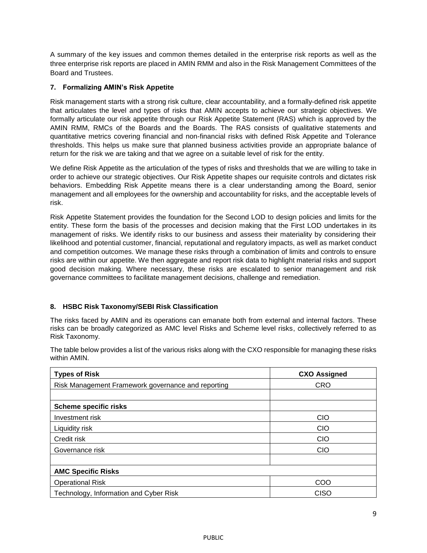A summary of the key issues and common themes detailed in the enterprise risk reports as well as the three enterprise risk reports are placed in AMIN RMM and also in the Risk Management Committees of the Board and Trustees.

## **7. Formalizing AMIN's Risk Appetite**

Risk management starts with a strong risk culture, clear accountability, and a formally-defined risk appetite that articulates the level and types of risks that AMIN accepts to achieve our strategic objectives. We formally articulate our risk appetite through our Risk Appetite Statement (RAS) which is approved by the AMIN RMM, RMCs of the Boards and the Boards. The RAS consists of qualitative statements and quantitative metrics covering financial and non-financial risks with defined Risk Appetite and Tolerance thresholds. This helps us make sure that planned business activities provide an appropriate balance of return for the risk we are taking and that we agree on a suitable level of risk for the entity.

We define Risk Appetite as the articulation of the types of risks and thresholds that we are willing to take in order to achieve our strategic objectives. Our Risk Appetite shapes our requisite controls and dictates risk behaviors. Embedding Risk Appetite means there is a clear understanding among the Board, senior management and all employees for the ownership and accountability for risks, and the acceptable levels of risk.

Risk Appetite Statement provides the foundation for the Second LOD to design policies and limits for the entity. These form the basis of the processes and decision making that the First LOD undertakes in its management of risks. We identify risks to our business and assess their materiality by considering their likelihood and potential customer, financial, reputational and regulatory impacts, as well as market conduct and competition outcomes. We manage these risks through a combination of limits and controls to ensure risks are within our appetite. We then aggregate and report risk data to highlight material risks and support good decision making. Where necessary, these risks are escalated to senior management and risk governance committees to facilitate management decisions, challenge and remediation.

## **8. HSBC Risk Taxonomy/SEBI Risk Classification**

The risks faced by AMIN and its operations can emanate both from external and internal factors. These risks can be broadly categorized as AMC level Risks and Scheme level risks, collectively referred to as Risk Taxonomy.

The table below provides a list of the various risks along with the CXO responsible for managing these risks within AMIN.

| <b>Types of Risk</b>                               | <b>CXO Assigned</b> |
|----------------------------------------------------|---------------------|
| Risk Management Framework governance and reporting | <b>CRO</b>          |
|                                                    |                     |
| <b>Scheme specific risks</b>                       |                     |
| Investment risk                                    | <b>CIO</b>          |
| Liquidity risk                                     | CIO                 |
| Credit risk                                        | <b>CIO</b>          |
| Governance risk                                    | <b>CIO</b>          |
|                                                    |                     |
| <b>AMC Specific Risks</b>                          |                     |
| <b>Operational Risk</b>                            | COO                 |
| Technology, Information and Cyber Risk             | <b>CISO</b>         |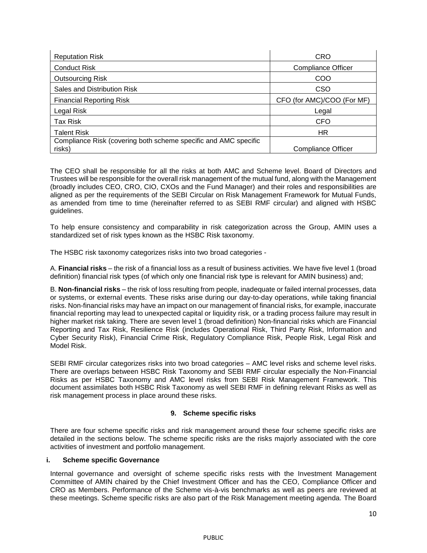| <b>Reputation Risk</b>                                                    | <b>CRO</b>                 |
|---------------------------------------------------------------------------|----------------------------|
| <b>Conduct Risk</b>                                                       | <b>Compliance Officer</b>  |
| <b>Outsourcing Risk</b>                                                   | COO                        |
| Sales and Distribution Risk                                               | <b>CSO</b>                 |
| <b>Financial Reporting Risk</b>                                           | CFO (for AMC)/COO (For MF) |
| Legal Risk                                                                | Legal                      |
| Tax Risk                                                                  | <b>CFO</b>                 |
| <b>Talent Risk</b>                                                        | ΗR                         |
| Compliance Risk (covering both scheme specific and AMC specific<br>risks) | <b>Compliance Officer</b>  |

The CEO shall be responsible for all the risks at both AMC and Scheme level. Board of Directors and Trustees will be responsible for the overall risk management of the mutual fund, along with the Management (broadly includes CEO, CRO, CIO, CXOs and the Fund Manager) and their roles and responsibilities are aligned as per the requirements of the SEBI Circular on Risk Management Framework for Mutual Funds, as amended from time to time (hereinafter referred to as SEBI RMF circular) and aligned with HSBC guidelines.

To help ensure consistency and comparability in risk categorization across the Group, AMIN uses a standardized set of risk types known as the HSBC Risk taxonomy.

The HSBC risk taxonomy categorizes risks into two broad categories -

A. **Financial risks** – the risk of a financial loss as a result of business activities. We have five level 1 (broad definition) financial risk types (of which only one financial risk type is relevant for AMIN business) and;

B. **Non-financial risks** – the risk of loss resulting from people, inadequate or failed internal processes, data or systems, or external events. These risks arise during our day-to-day operations, while taking financial risks. Non-financial risks may have an impact on our management of financial risks, for example, inaccurate financial reporting may lead to unexpected capital or liquidity risk, or a trading process failure may result in higher market risk taking. There are seven level 1 (broad definition) Non-financial risks which are Financial Reporting and Tax Risk, Resilience Risk (includes Operational Risk, Third Party Risk, Information and Cyber Security Risk), Financial Crime Risk, Regulatory Compliance Risk, People Risk, Legal Risk and Model Risk.

SEBI RMF circular categorizes risks into two broad categories – AMC level risks and scheme level risks. There are overlaps between HSBC Risk Taxonomy and SEBI RMF circular especially the Non-Financial Risks as per HSBC Taxonomy and AMC level risks from SEBI Risk Management Framework. This document assimilates both HSBC Risk Taxonomy as well SEBI RMF in defining relevant Risks as well as risk management process in place around these risks.

## **9. Scheme specific risks**

There are four scheme specific risks and risk management around these four scheme specific risks are detailed in the sections below. The scheme specific risks are the risks majorly associated with the core activities of investment and portfolio management.

#### **i. Scheme specific Governance**

Internal governance and oversight of scheme specific risks rests with the Investment Management Committee of AMIN chaired by the Chief Investment Officer and has the CEO, Compliance Officer and CRO as Members. Performance of the Scheme vis-à-vis benchmarks as well as peers are reviewed at these meetings. Scheme specific risks are also part of the Risk Management meeting agenda. The Board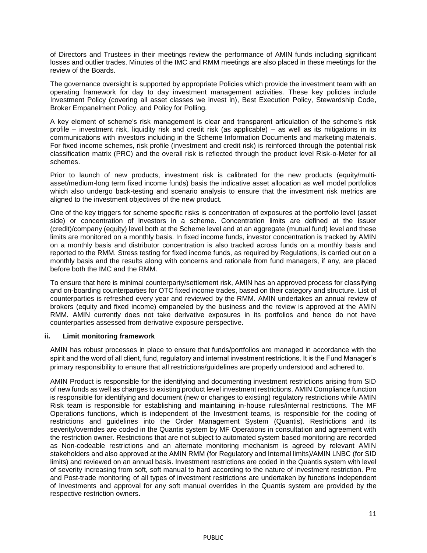of Directors and Trustees in their meetings review the performance of AMIN funds including significant losses and outlier trades. Minutes of the IMC and RMM meetings are also placed in these meetings for the review of the Boards.

The governance oversight is supported by appropriate Policies which provide the investment team with an operating framework for day to day investment management activities. These key policies include Investment Policy (covering all asset classes we invest in), Best Execution Policy, Stewardship Code, Broker Empanelment Policy, and Policy for Polling.

A key element of scheme's risk management is clear and transparent articulation of the scheme's risk profile – investment risk, liquidity risk and credit risk (as applicable) – as well as its mitigations in its communications with investors including in the Scheme Information Documents and marketing materials. For fixed income schemes, risk profile (investment and credit risk) is reinforced through the potential risk classification matrix (PRC) and the overall risk is reflected through the product level Risk-o-Meter for all schemes.

Prior to launch of new products, investment risk is calibrated for the new products (equity/multiasset/medium-long term fixed income funds) basis the indicative asset allocation as well model portfolios which also undergo back-testing and scenario analysis to ensure that the investment risk metrics are aligned to the investment objectives of the new product.

One of the key triggers for scheme specific risks is concentration of exposures at the portfolio level (asset side) or concentration of investors in a scheme. Concentration limits are defined at the issuer (credit)/company (equity) level both at the Scheme level and at an aggregate (mutual fund) level and these limits are monitored on a monthly basis. In fixed income funds, investor concentration is tracked by AMIN on a monthly basis and distributor concentration is also tracked across funds on a monthly basis and reported to the RMM. Stress testing for fixed income funds, as required by Regulations, is carried out on a monthly basis and the results along with concerns and rationale from fund managers, if any, are placed before both the IMC and the RMM.

To ensure that here is minimal counterparty/settlement risk, AMIN has an approved process for classifying and on-boarding counterparties for OTC fixed income trades, based on their category and structure. List of counterparties is refreshed every year and reviewed by the RMM. AMIN undertakes an annual review of brokers (equity and fixed income) empaneled by the business and the review is approved at the AMIN RMM. AMIN currently does not take derivative exposures in its portfolios and hence do not have counterparties assessed from derivative exposure perspective.

#### **ii. Limit monitoring framework**

AMIN has robust processes in place to ensure that funds/portfolios are managed in accordance with the spirit and the word of all client, fund, regulatory and internal investment restrictions. It is the Fund Manager's primary responsibility to ensure that all restrictions/guidelines are properly understood and adhered to.

AMIN Product is responsible for the identifying and documenting investment restrictions arising from SID of new funds as well as changes to existing product level investment restrictions. AMIN Compliance function is responsible for identifying and document (new or changes to existing) regulatory restrictions while AMIN Risk team is responsible for establishing and maintaining in-house rules/internal restrictions. The MF Operations functions, which is independent of the Investment teams, is responsible for the coding of restrictions and guidelines into the Order Management System (Quantis). Restrictions and its severity/overrides are coded in the Quantis system by MF Operations in consultation and agreement with the restriction owner. Restrictions that are not subject to automated system based monitoring are recorded as Non-codeable restrictions and an alternate monitoring mechanism is agreed by relevant AMIN stakeholders and also approved at the AMIN RMM (for Regulatory and Internal limits)/AMIN LNBC (for SID limits) and reviewed on an annual basis. Investment restrictions are coded in the Quantis system with level of severity increasing from soft, soft manual to hard according to the nature of investment restriction. Pre and Post-trade monitoring of all types of investment restrictions are undertaken by functions independent of Investments and approval for any soft manual overrides in the Quantis system are provided by the respective restriction owners.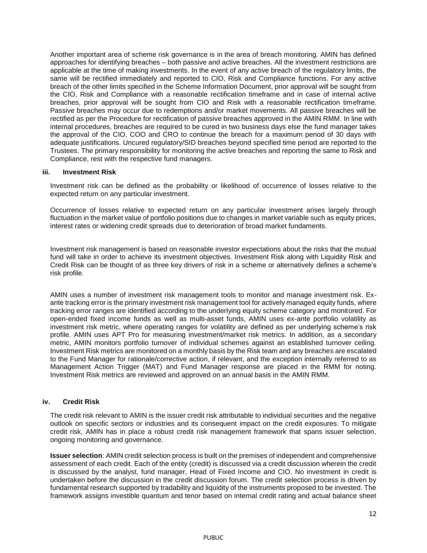Another important area of scheme risk governance is in the area of breach monitoring. AMIN has defined approaches for identifying breaches – both passive and active breaches. All the investment restrictions are applicable at the time of making investments. In the event of any active breach of the regulatory limits, the same will be rectified immediately and reported to CIO, Risk and Compliance functions. For any active breach of the other limits specified in the Scheme Information Document, prior approval will be sought from the CIO, Risk and Compliance with a reasonable rectification timeframe and in case of internal active breaches, prior approval will be sought from CIO and Risk with a reasonable rectification timeframe. Passive breaches may occur due to redemptions and/or market movements. All passive breaches will be rectified as per the Procedure for rectification of passive breaches approved in the AMIN RMM. In line with internal procedures, breaches are required to be cured in two business days else the fund manager takes the approval of the CIO, COO and CRO to continue the breach for a maximum period of 30 days with adequate justifications. Uncured regulatory/SID breaches beyond specified time period are reported to the Trustees. The primary responsibility for monitoring the active breaches and reporting the same to Risk and Compliance, rest with the respective fund managers.

#### **iii. Investment Risk**

Investment risk can be defined as the probability or likelihood of occurrence of losses relative to the expected return on any particular investment.

Occurrence of losses relative to expected return on any particular investment arises largely through fluctuation in the market value of portfolio positions due to changes in market variable such as equity prices, interest rates or widening credit spreads due to deterioration of broad market fundaments.

Investment risk management is based on reasonable investor expectations about the risks that the mutual fund will take in order to achieve its investment objectives. Investment Risk along with Liquidity Risk and Credit Risk can be thought of as three key drivers of risk in a scheme or alternatively defines a scheme's risk profile.

AMIN uses a number of investment risk management tools to monitor and manage investment risk. Exante tracking error is the primary investment risk management tool for actively managed equity funds, where tracking error ranges are identified according to the underlying equity scheme category and monitored. For open-ended fixed income funds as well as multi-asset funds, AMIN uses ex-ante portfolio volatility as investment risk metric, where operating ranges for volatility are defined as per underlying scheme's risk profile. AMIN uses APT Pro for measuring investment/market risk metrics. In addition, as a secondary metric, AMIN monitors portfolio turnover of individual schemes against an established turnover ceiling. Investment Risk metrics are monitored on a monthly basis by the Risk team and any breaches are escalated to the Fund Manager for rationale/corrective action, if relevant, and the exception internally referred to as Management Action Trigger (MAT) and Fund Manager response are placed in the RMM for noting. Investment Risk metrics are reviewed and approved on an annual basis in the AMIN RMM.

#### **iv. Credit Risk**

The credit risk relevant to AMIN is the issuer credit risk attributable to individual securities and the negative outlook on specific sectors or industries and its consequent impact on the credit exposures. To mitigate credit risk, AMIN has in place a robust credit risk management framework that spans issuer selection, ongoing monitoring and governance.

**Issuer selection**: AMIN credit selection process is built on the premises of independent and comprehensive assessment of each credit. Each of the entity (credit) is discussed via a credit discussion wherein the credit is discussed by the analyst, fund manager, Head of Fixed Income and CIO. No investment in credit is undertaken before the discussion in the credit discussion forum. The credit selection process is driven by fundamental research supported by tradability and liquidity of the instruments proposed to be invested. The framework assigns investible quantum and tenor based on internal credit rating and actual balance sheet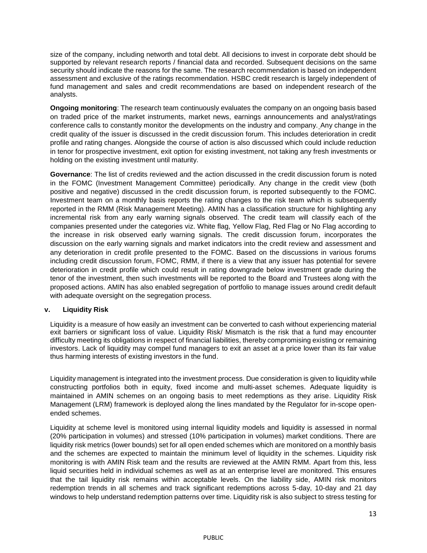size of the company, including networth and total debt. All decisions to invest in corporate debt should be supported by relevant research reports / financial data and recorded. Subsequent decisions on the same security should indicate the reasons for the same. The research recommendation is based on independent assessment and exclusive of the ratings recommendation. HSBC credit research is largely independent of fund management and sales and credit recommendations are based on independent research of the analysts.

**Ongoing monitoring**: The research team continuously evaluates the company on an ongoing basis based on traded price of the market instruments, market news, earnings announcements and analyst/ratings conference calls to constantly monitor the developments on the industry and company. Any change in the credit quality of the issuer is discussed in the credit discussion forum. This includes deterioration in credit profile and rating changes. Alongside the course of action is also discussed which could include reduction in tenor for prospective investment, exit option for existing investment, not taking any fresh investments or holding on the existing investment until maturity.

**Governance**: The list of credits reviewed and the action discussed in the credit discussion forum is noted in the FOMC (Investment Management Committee) periodically. Any change in the credit view (both positive and negative) discussed in the credit discussion forum, is reported subsequently to the FOMC. Investment team on a monthly basis reports the rating changes to the risk team which is subsequently reported in the RMM (Risk Management Meeting). AMIN has a classification structure for highlighting any incremental risk from any early warning signals observed. The credit team will classify each of the companies presented under the categories viz. White flag, Yellow Flag, Red Flag or No Flag according to the increase in risk observed early warning signals. The credit discussion forum, incorporates the discussion on the early warning signals and market indicators into the credit review and assessment and any deterioration in credit profile presented to the FOMC. Based on the discussions in various forums including credit discussion forum, FOMC, RMM, if there is a view that any issuer has potential for severe deterioration in credit profile which could result in rating downgrade below investment grade during the tenor of the investment, then such investments will be reported to the Board and Trustees along with the proposed actions. AMIN has also enabled segregation of portfolio to manage issues around credit default with adequate oversight on the segregation process.

## **v. Liquidity Risk**

Liquidity is a measure of how easily an investment can be converted to cash without experiencing material exit barriers or significant loss of value. Liquidity Risk/ Mismatch is the risk that a fund may encounter difficulty meeting its obligations in respect of financial liabilities, thereby compromising existing or remaining investors. Lack of liquidity may compel fund managers to exit an asset at a price lower than its fair value thus harming interests of existing investors in the fund.

Liquidity management is integrated into the investment process. Due consideration is given to liquidity while constructing portfolios both in equity, fixed income and multi-asset schemes. Adequate liquidity is maintained in AMIN schemes on an ongoing basis to meet redemptions as they arise. Liquidity Risk Management (LRM) framework is deployed along the lines mandated by the Regulator for in-scope openended schemes.

Liquidity at scheme level is monitored using internal liquidity models and liquidity is assessed in normal (20% participation in volumes) and stressed (10% participation in volumes) market conditions. There are liquidity risk metrics (lower bounds) set for all open ended schemes which are monitored on a monthly basis and the schemes are expected to maintain the minimum level of liquidity in the schemes. Liquidity risk monitoring is with AMIN Risk team and the results are reviewed at the AMIN RMM. Apart from this, less liquid securities held in individual schemes as well as at an enterprise level are monitored. This ensures that the tail liquidity risk remains within acceptable levels. On the liability side, AMIN risk monitors redemption trends in all schemes and track significant redemptions across 5-day, 10-day and 21 day windows to help understand redemption patterns over time. Liquidity risk is also subject to stress testing for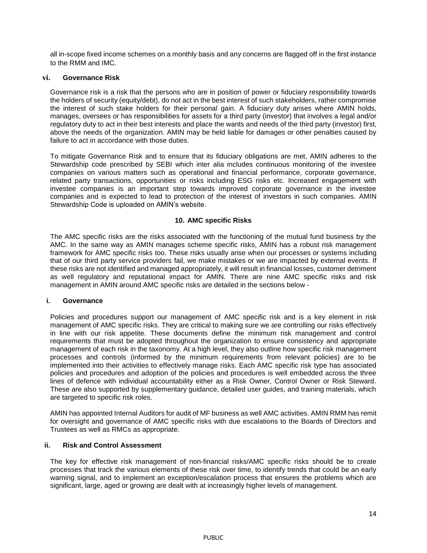all in-scope fixed income schemes on a monthly basis and any concerns are flagged off in the first instance to the RMM and IMC.

#### **vi. Governance Risk**

Governance risk is a risk that the persons who are in position of power or fiduciary responsibility towards the holders of security (equity/debt), do not act in the best interest of such stakeholders, rather compromise the interest of such stake holders for their personal gain. A fiduciary duty arises where AMIN holds, manages, oversees or has responsibilities for assets for a third party (investor) that involves a legal and/or regulatory duty to act in their best interests and place the wants and needs of the third party (investor) first, above the needs of the organization. AMIN may be held liable for damages or other penalties caused by failure to act in accordance with those duties.

To mitigate Governance Risk and to ensure that its fiduciary obligations are met, AMIN adheres to the Stewardship code prescribed by SEBI which inter alia includes continuous monitoring of the investee companies on various matters such as operational and financial performance, corporate governance, related party transactions, opportunities or risks including ESG risks etc. Increased engagement with investee companies is an important step towards improved corporate governance in the investee companies and is expected to lead to protection of the interest of investors in such companies. AMIN Stewardship Code is uploaded on AMIN's website.

#### **10. AMC specific Risks**

The AMC specific risks are the risks associated with the functioning of the mutual fund business by the AMC. In the same way as AMIN manages scheme specific risks, AMIN has a robust risk management framework for AMC specific risks too. These risks usually arise when our processes or systems including that of our third party service providers fail, we make mistakes or we are impacted by external events. If these risks are not identified and managed appropriately, it will result in financial losses, customer detriment as well regulatory and reputational impact for AMIN. There are nine AMC specific risks and risk management in AMIN around AMC specific risks are detailed in the sections below -

#### **i. Governance**

Policies and procedures support our management of AMC specific risk and is a key element in risk management of AMC specific risks. They are critical to making sure we are controlling our risks effectively in line with our risk appetite. These documents define the minimum risk management and control requirements that must be adopted throughout the organization to ensure consistency and appropriate management of each risk in the taxonomy. At a high level, they also outline how specific risk management processes and controls (informed by the minimum requirements from relevant policies) are to be implemented into their activities to effectively manage risks. Each AMC specific risk type has associated policies and procedures and adoption of the policies and procedures is well embedded across the three lines of defence with individual accountability either as a Risk Owner, Control Owner or Risk Steward. These are also supported by supplementary guidance, detailed user guides, and training materials, which are targeted to specific risk roles.

AMIN has appointed Internal Auditors for audit of MF business as well AMC activities. AMIN RMM has remit for oversight and governance of AMC specific risks with due escalations to the Boards of Directors and Trustees as well as RMCs as appropriate.

#### **ii. Risk and Control Assessment**

The key for effective risk management of non-financial risks/AMC specific risks should be to create processes that track the various elements of these risk over time, to identify trends that could be an early warning signal, and to implement an exception/escalation process that ensures the problems which are significant, large, aged or growing are dealt with at increasingly higher levels of management.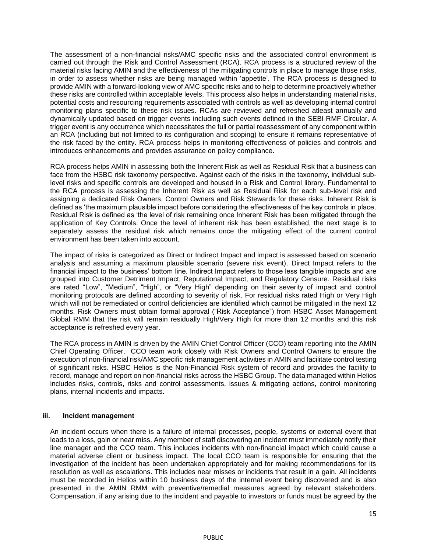The assessment of a non-financial risks/AMC specific risks and the associated control environment is carried out through the Risk and Control Assessment (RCA). RCA process is a structured review of the material risks facing AMIN and the effectiveness of the mitigating controls in place to manage those risks, in order to assess whether risks are being managed within 'appetite'. The RCA process is designed to provide AMIN with a forward-looking view of AMC specific risks and to help to determine proactively whether these risks are controlled within acceptable levels. This process also helps in understanding material risks, potential costs and resourcing requirements associated with controls as well as developing internal control monitoring plans specific to these risk issues. RCAs are reviewed and refreshed atleast annually and dynamically updated based on trigger events including such events defined in the SEBI RMF Circular. A trigger event is any occurrence which necessitates the full or partial reassessment of any component within an RCA (including but not limited to its configuration and scoping) to ensure it remains representative of the risk faced by the entity. RCA process helps in monitoring effectiveness of policies and controls and introduces enhancements and provides assurance on policy compliance.

RCA process helps AMIN in assessing both the Inherent Risk as well as Residual Risk that a business can face from the HSBC risk taxonomy perspective. Against each of the risks in the taxonomy, individual sublevel risks and specific controls are developed and housed in a Risk and Control library. Fundamental to the RCA process is assessing the Inherent Risk as well as Residual Risk for each sub-level risk and assigning a dedicated Risk Owners, Control Owners and Risk Stewards for these risks. Inherent Risk is defined as 'the maximum plausible impact before considering the effectiveness of the key controls in place. Residual Risk is defined as 'the level of risk remaining once Inherent Risk has been mitigated through the application of Key Controls. Once the level of inherent risk has been established, the next stage is to separately assess the residual risk which remains once the mitigating effect of the current control environment has been taken into account.

The impact of risks is categorized as Direct or Indirect Impact and impact is assessed based on scenario analysis and assuming a maximum plausible scenario (severe risk event). Direct Impact refers to the financial impact to the business' bottom line. Indirect Impact refers to those less tangible impacts and are grouped into Customer Detriment Impact, Reputational Impact, and Regulatory Censure. Residual risks are rated "Low", "Medium", "High", or "Very High" depending on their severity of impact and control monitoring protocols are defined according to severity of risk. For residual risks rated High or Very High which will not be remediated or control deficiencies are identified which cannot be mitigated in the next 12 months, Risk Owners must obtain formal approval ("Risk Acceptance") from HSBC Asset Management Global RMM that the risk will remain residually High/Very High for more than 12 months and this risk acceptance is refreshed every year.

The RCA process in AMIN is driven by the AMIN Chief Control Officer (CCO) team reporting into the AMIN Chief Operating Officer. CCO team work closely with Risk Owners and Control Owners to ensure the execution of non-financial risk/AMC specific risk management activities in AMIN and facilitate control testing of significant risks. HSBC Helios is the Non-Financial Risk system of record and provides the facility to record, manage and report on non-financial risks across the HSBC Group. The data managed within Helios includes risks, controls, risks and control assessments, issues & mitigating actions, control monitoring plans, internal incidents and impacts.

#### **iii. Incident management**

An incident occurs when there is a failure of internal processes, people, systems or external event that leads to a loss, gain or near miss. Any member of staff discovering an incident must immediately notify their line manager and the CCO team. This includes incidents with non-financial impact which could cause a material adverse client or business impact. The local CCO team is responsible for ensuring that the investigation of the incident has been undertaken appropriately and for making recommendations for its resolution as well as escalations. This includes near misses or incidents that result in a gain. All incidents must be recorded in Helios within 10 business days of the internal event being discovered and is also presented in the AMIN RMM with preventive/remedial measures agreed by relevant stakeholders. Compensation, if any arising due to the incident and payable to investors or funds must be agreed by the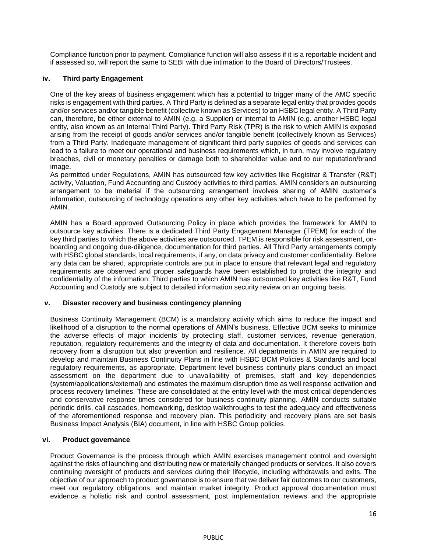Compliance function prior to payment. Compliance function will also assess if it is a reportable incident and if assessed so, will report the same to SEBI with due intimation to the Board of Directors/Trustees.

## **iv. Third party Engagement**

One of the key areas of business engagement which has a potential to trigger many of the AMC specific risks is engagement with third parties. A Third Party is defined as a separate legal entity that provides goods and/or services and/or tangible benefit (collective known as Services) to an HSBC legal entity. A Third Party can, therefore, be either external to AMIN (e.g. a Supplier) or internal to AMIN (e.g. another HSBC legal entity, also known as an Internal Third Party). Third Party Risk (TPR) is the risk to which AMIN is exposed arising from the receipt of goods and/or services and/or tangible benefit (collectively known as Services) from a Third Party. Inadequate management of significant third party supplies of goods and services can lead to a failure to meet our operational and business requirements which, in turn, may involve regulatory breaches, civil or monetary penalties or damage both to shareholder value and to our reputation/brand image.

As permitted under Regulations, AMIN has outsourced few key activities like Registrar & Transfer (R&T) activity, Valuation, Fund Accounting and Custody activities to third parties. AMIN considers an outsourcing arrangement to be material if the outsourcing arrangement involves sharing of AMIN customer's information, outsourcing of technology operations any other key activities which have to be performed by AMIN.

AMIN has a Board approved Outsourcing Policy in place which provides the framework for AMIN to outsource key activities. There is a dedicated Third Party Engagement Manager (TPEM) for each of the key third parties to which the above activities are outsourced. TPEM is responsible for risk assessment, onboarding and ongoing due-diligence, documentation for third parties. All Third Party arrangements comply with HSBC global standards, local requirements, if any, on data privacy and customer confidentiality. Before any data can be shared, appropriate controls are put in place to ensure that relevant legal and regulatory requirements are observed and proper safeguards have been established to protect the integrity and confidentiality of the information. Third parties to which AMIN has outsourced key activities like R&T, Fund Accounting and Custody are subject to detailed information security review on an ongoing basis.

#### **v. Disaster recovery and business contingency planning**

Business Continuity Management (BCM) is a mandatory activity which aims to reduce the impact and likelihood of a disruption to the normal operations of AMIN's business. Effective BCM seeks to minimize the adverse effects of major incidents by protecting staff, customer services, revenue generation, reputation, regulatory requirements and the integrity of data and documentation. It therefore covers both recovery from a disruption but also prevention and resilience. All departments in AMIN are required to develop and maintain Business Continuity Plans in line with HSBC BCM Policies & Standards and local regulatory requirements, as appropriate. Department level business continuity plans conduct an impact assessment on the department due to unavailability of premises, staff and key dependencies (system/applications/external) and estimates the maximum disruption time as well response activation and process recovery timelines. These are consolidated at the entity level with the most critical dependencies and conservative response times considered for business continuity planning. AMIN conducts suitable periodic drills, call cascades, homeworking, desktop walkthroughs to test the adequacy and effectiveness of the aforementioned response and recovery plan. This periodicity and recovery plans are set basis Business Impact Analysis (BIA) document, in line with HSBC Group policies.

#### **vi. Product governance**

Product Governance is the process through which AMIN exercises management control and oversight against the risks of launching and distributing new or materially changed products or services. It also covers continuing oversight of products and services during their lifecycle, including withdrawals and exits. The objective of our approach to product governance is to ensure that we deliver fair outcomes to our customers, meet our regulatory obligations, and maintain market integrity. Product approval documentation must evidence a holistic risk and control assessment, post implementation reviews and the appropriate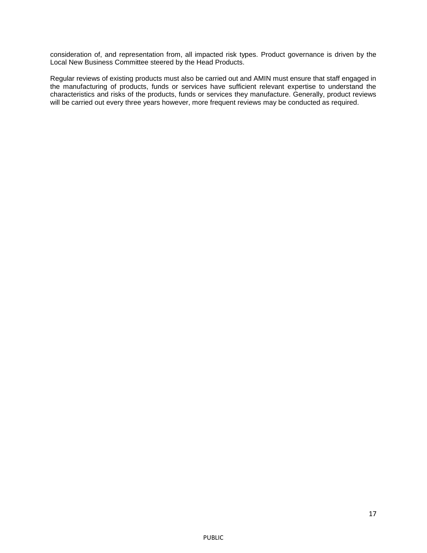consideration of, and representation from, all impacted risk types. Product governance is driven by the Local New Business Committee steered by the Head Products.

Regular reviews of existing products must also be carried out and AMIN must ensure that staff engaged in the manufacturing of products, funds or services have sufficient relevant expertise to understand the characteristics and risks of the products, funds or services they manufacture. Generally, product reviews will be carried out every three years however, more frequent reviews may be conducted as required.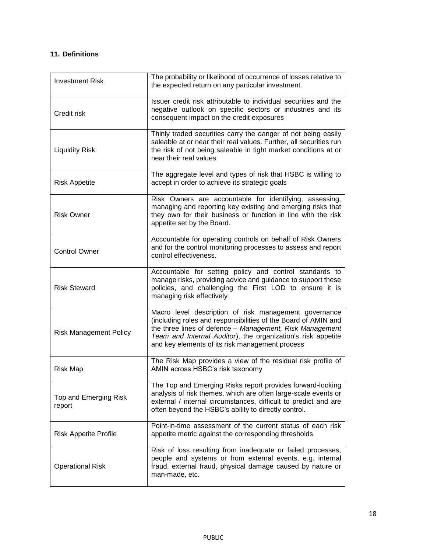## **11. Definitions**

| <b>Investment Risk</b>          | The probability or likelihood of occurrence of losses relative to<br>the expected return on any particular investment.                                                                                                                                                                                 |
|---------------------------------|--------------------------------------------------------------------------------------------------------------------------------------------------------------------------------------------------------------------------------------------------------------------------------------------------------|
| Credit risk                     | Issuer credit risk attributable to individual securities and the<br>negative outlook on specific sectors or industries and its<br>consequent impact on the credit exposures                                                                                                                            |
| <b>Liquidity Risk</b>           | Thinly traded securities carry the danger of not being easily<br>saleable at or near their real values. Further, all securities run<br>the risk of not being saleable in tight market conditions at or<br>near their real values                                                                       |
| <b>Risk Appetite</b>            | The aggregate level and types of risk that HSBC is willing to<br>accept in order to achieve its strategic goals                                                                                                                                                                                        |
| <b>Risk Owner</b>               | Risk Owners are accountable for identifying, assessing,<br>managing and reporting key existing and emerging risks that<br>they own for their business or function in line with the risk<br>appetite set by the Board.                                                                                  |
| <b>Control Owner</b>            | Accountable for operating controls on behalf of Risk Owners<br>and for the control monitoring processes to assess and report<br>control effectiveness.                                                                                                                                                 |
| <b>Risk Steward</b>             | Accountable for setting policy and control standards to<br>manage risks, providing advice and guidance to support these<br>policies, and challenging the First LOD to ensure it is<br>managing risk effectively                                                                                        |
| <b>Risk Management Policy</b>   | Macro level description of risk management governance<br>(including roles and responsibilities of the Board of AMIN and<br>the three lines of defence - Management, Risk Management<br>Team and Internal Auditor), the organization's risk appetite<br>and key elements of its risk management process |
| <b>Risk Map</b>                 | The Risk Map provides a view of the residual risk profile of<br>AMIN across HSBC's risk taxonomy                                                                                                                                                                                                       |
| Top and Emerging Risk<br>report | The Top and Emerging Risks report provides forward-looking<br>analysis of risk themes, which are often large-scale events or<br>external / internal circumstances, difficult to predict and are<br>often beyond the HSBC's ability to directly control.                                                |
| <b>Risk Appetite Profile</b>    | Point-in-time assessment of the current status of each risk<br>appetite metric against the corresponding thresholds                                                                                                                                                                                    |
| <b>Operational Risk</b>         | Risk of loss resulting from inadequate or failed processes,<br>people and systems or from external events, e.g. internal<br>fraud, external fraud, physical damage caused by nature or<br>man-made, etc.                                                                                               |